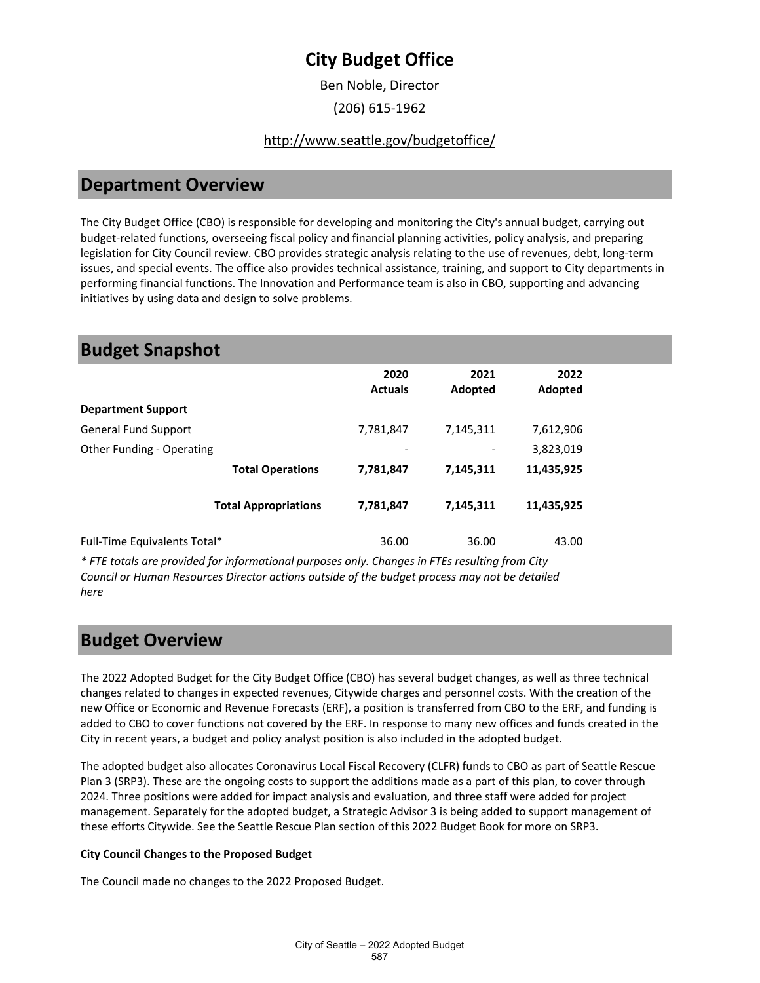Ben Noble, Director

(206) 615-1962

### <http://www.seattle.gov/budgetoffice/>

### **Department Overview**

The City Budget Office (CBO) is responsible for developing and monitoring the City's annual budget, carrying out budget-related functions, overseeing fiscal policy and financial planning activities, policy analysis, and preparing legislation for City Council review. CBO provides strategic analysis relating to the use of revenues, debt, long-term issues, and special events. The office also provides technical assistance, training, and support to City departments in performing financial functions. The Innovation and Performance team is also in CBO, supporting and advancing initiatives by using data and design to solve problems.

### **Budget Snapshot**

|                              | 2020<br><b>Actuals</b> | 2021<br>Adopted | 2022<br>Adopted |  |
|------------------------------|------------------------|-----------------|-----------------|--|
| <b>Department Support</b>    |                        |                 |                 |  |
| General Fund Support         | 7,781,847              | 7,145,311       | 7,612,906       |  |
| Other Funding - Operating    |                        |                 | 3,823,019       |  |
| <b>Total Operations</b>      | 7,781,847              | 7,145,311       | 11,435,925      |  |
| <b>Total Appropriations</b>  | 7,781,847              | 7,145,311       | 11,435,925      |  |
| Full-Time Equivalents Total* | 36.00                  | 36.00           | 43.00           |  |

*\* FTE totals are provided for informational purposes only. Changes in FTEs resulting from City Council or Human Resources Director actions outside of the budget process may not be detailed here*

## **Budget Overview**

The 2022 Adopted Budget for the City Budget Office (CBO) has several budget changes, as well as three technical changes related to changes in expected revenues, Citywide charges and personnel costs. With the creation of the new Office or Economic and Revenue Forecasts (ERF), a position is transferred from CBO to the ERF, and funding is added to CBO to cover functions not covered by the ERF. In response to many new offices and funds created in the City in recent years, a budget and policy analyst position is also included in the adopted budget.

The adopted budget also allocates Coronavirus Local Fiscal Recovery (CLFR) funds to CBO as part of Seattle Rescue Plan 3 (SRP3). These are the ongoing costs to support the additions made as a part of this plan, to cover through 2024. Three positions were added for impact analysis and evaluation, and three staff were added for project management. Separately for the adopted budget, a Strategic Advisor 3 is being added to support management of these efforts Citywide. See the Seattle Rescue Plan section of this 2022 Budget Book for more on SRP3.

#### **City Council Changes to the Proposed Budget**

The Council made no changes to the 2022 Proposed Budget.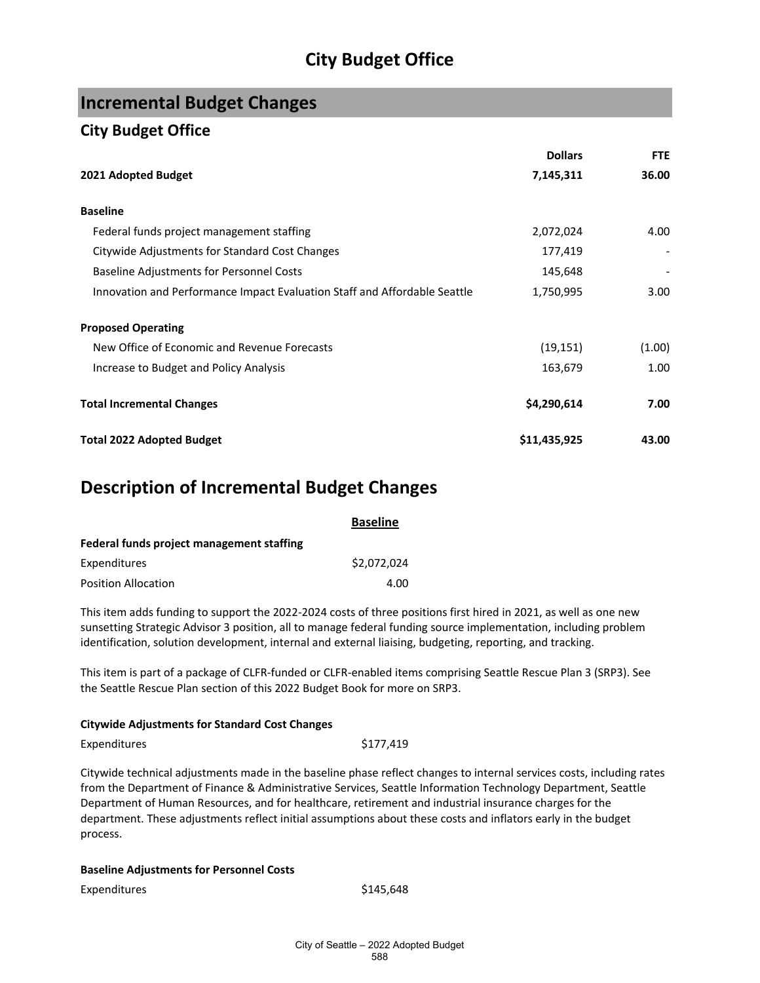## **Incremental Budget Changes**

### **City Budget Office**

|                                                                           | <b>Dollars</b> | <b>FTE</b> |
|---------------------------------------------------------------------------|----------------|------------|
| 2021 Adopted Budget                                                       | 7,145,311      | 36.00      |
| <b>Baseline</b>                                                           |                |            |
| Federal funds project management staffing                                 | 2,072,024      | 4.00       |
| Citywide Adjustments for Standard Cost Changes                            | 177,419        |            |
| <b>Baseline Adjustments for Personnel Costs</b>                           | 145,648        |            |
| Innovation and Performance Impact Evaluation Staff and Affordable Seattle | 1,750,995      | 3.00       |
| <b>Proposed Operating</b>                                                 |                |            |
| New Office of Economic and Revenue Forecasts                              | (19, 151)      | (1.00)     |
| Increase to Budget and Policy Analysis                                    | 163,679        | 1.00       |
| <b>Total Incremental Changes</b>                                          | \$4,290,614    | 7.00       |
| <b>Total 2022 Adopted Budget</b>                                          | \$11,435,925   | 43.00      |

## **Description of Incremental Budget Changes**

|                                           | <b>Baseline</b> |
|-------------------------------------------|-----------------|
| Federal funds project management staffing |                 |
| Expenditures                              | \$2.072.024     |
| <b>Position Allocation</b>                | 4.00            |

This item adds funding to support the 2022-2024 costs of three positions first hired in 2021, as well as one new sunsetting Strategic Advisor 3 position, all to manage federal funding source implementation, including problem identification, solution development, internal and external liaising, budgeting, reporting, and tracking.

This item is part of a package of CLFR-funded or CLFR-enabled items comprising Seattle Rescue Plan 3 (SRP3). See the Seattle Rescue Plan section of this 2022 Budget Book for more on SRP3.

#### **Citywide Adjustments for Standard Cost Changes**

Expenditures \$177,419

Citywide technical adjustments made in the baseline phase reflect changes to internal services costs, including rates from the Department of Finance & Administrative Services, Seattle Information Technology Department, Seattle Department of Human Resources, and for healthcare, retirement and industrial insurance charges for the department. These adjustments reflect initial assumptions about these costs and inflators early in the budget process.

#### **Baseline Adjustments for Personnel Costs**

Expenditures \$145,648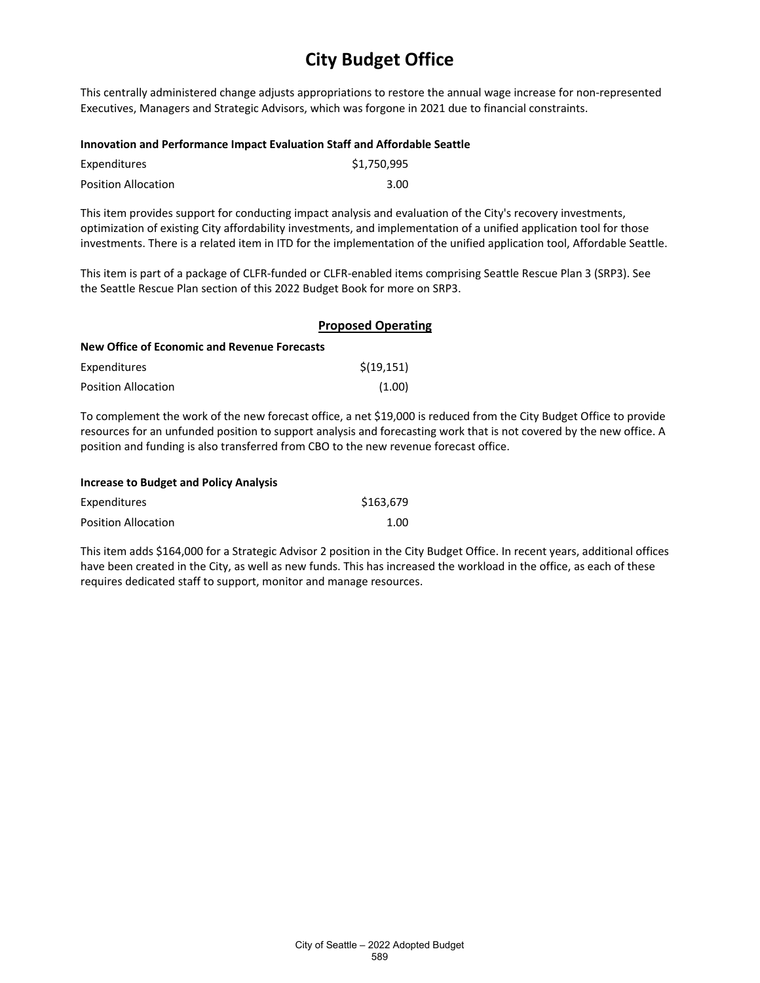This centrally administered change adjusts appropriations to restore the annual wage increase for non-represented Executives, Managers and Strategic Advisors, which was forgone in 2021 due to financial constraints.

#### **Innovation and Performance Impact Evaluation Staff and Affordable Seattle**

| Expenditures               | \$1,750,995 |
|----------------------------|-------------|
| <b>Position Allocation</b> | 3.00        |

This item provides support for conducting impact analysis and evaluation of the City's recovery investments, optimization of existing City affordability investments, and implementation of a unified application tool for those investments. There is a related item in ITD for the implementation of the unified application tool, Affordable Seattle.

This item is part of a package of CLFR-funded or CLFR-enabled items comprising Seattle Rescue Plan 3 (SRP3). See the Seattle Rescue Plan section of this 2022 Budget Book for more on SRP3.

|                                                     | <b>Proposed Operating</b> |  |  |
|-----------------------------------------------------|---------------------------|--|--|
| <b>New Office of Economic and Revenue Forecasts</b> |                           |  |  |
| Expenditures                                        | \$(19, 151)               |  |  |
| Position Allocation                                 | (1.00)                    |  |  |

To complement the work of the new forecast office, a net \$19,000 is reduced from the City Budget Office to provide resources for an unfunded position to support analysis and forecasting work that is not covered by the new office. A position and funding is also transferred from CBO to the new revenue forecast office.

| <b>Increase to Budget and Policy Analysis</b> |           |
|-----------------------------------------------|-----------|
| Expenditures                                  | \$163.679 |
| <b>Position Allocation</b>                    | 1.00      |

This item adds \$164,000 for a Strategic Advisor 2 position in the City Budget Office. In recent years, additional offices have been created in the City, as well as new funds. This has increased the workload in the office, as each of these requires dedicated staff to support, monitor and manage resources.